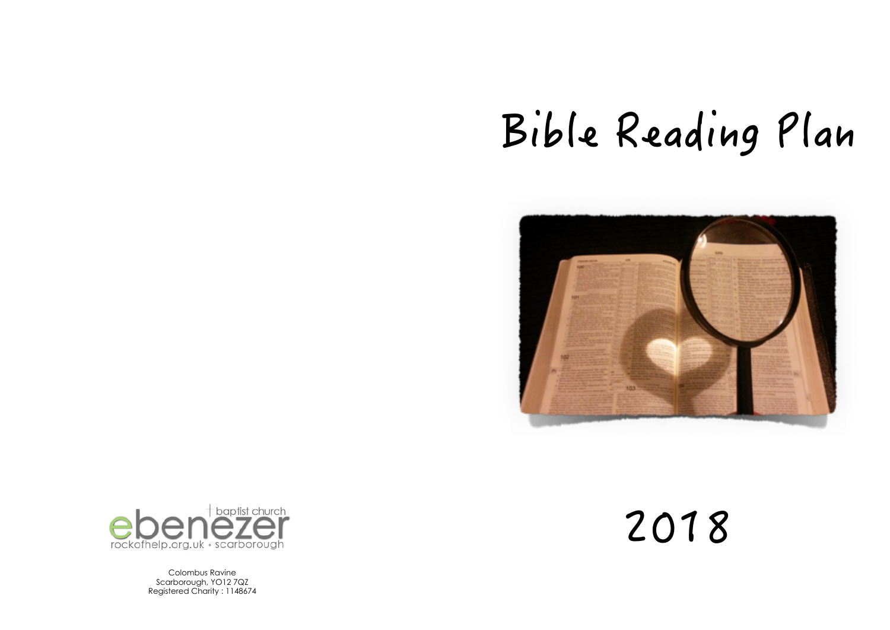# Bible Reading Plan





Colombus Ravine Scarborough, YO12 7QZ Registered Charity : 1148674 2018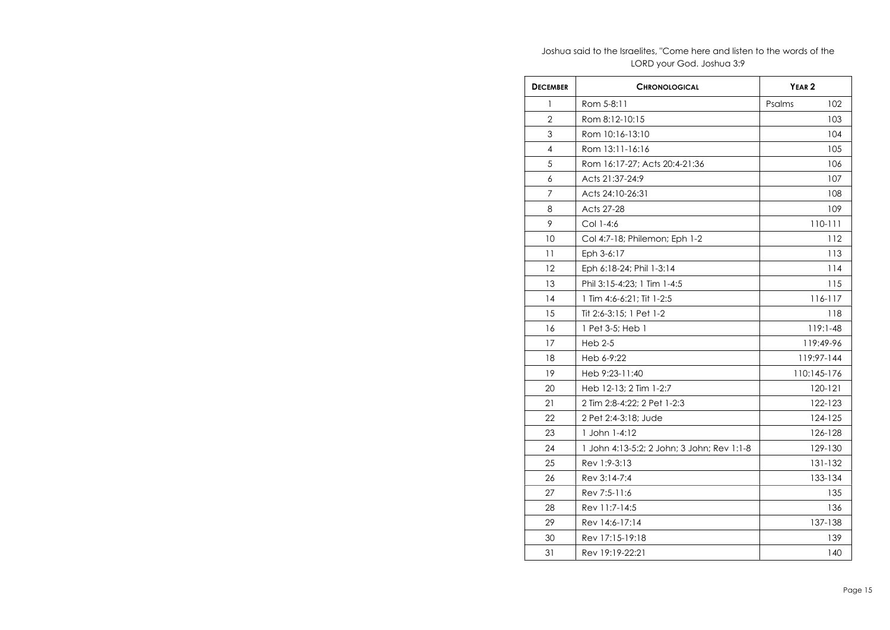Joshua said to the Israelites, "Come here and listen to the words of the LORD your God. Joshua 3:9

| <b>DECEMBER</b> | <b>CHRONOLOGICAL</b>                       | YEAR <sub>2</sub> |
|-----------------|--------------------------------------------|-------------------|
| 1               | Rom 5-8:11                                 | Psalms<br>102     |
| 2               | Rom 8:12-10:15                             | 103               |
| 3               | Rom 10:16-13:10                            | 104               |
| 4               | Rom 13:11-16:16                            | 105               |
| 5               | Rom 16:17-27: Acts 20:4-21:36              | 106               |
| 6               | Acts 21:37-24:9                            | 107               |
| 7               | Acts 24:10-26:31                           | 108               |
| 8               | Acts 27-28                                 | 109               |
| 9               | Col 1-4:6                                  | 110-111           |
| 10              | Col 4:7-18; Philemon; Eph 1-2              | 112               |
| 11              | Eph 3-6:17                                 | 113               |
| 12              | Eph 6:18-24; Phil 1-3:14                   | 114               |
| 13              | Phil 3:15-4:23: 1 Tim 1-4:5                | 115               |
| 14              | 1 Tim 4:6-6:21; Tit 1-2:5                  | 116-117           |
| 15              | Tit 2:6-3:15; 1 Pet 1-2                    | 118               |
| 16              | 1 Pet 3-5; Heb 1                           | 119:1-48          |
| 17              | $Heb$ 2-5                                  | 119:49-96         |
| 18              | Heb 6-9:22                                 | 119:97-144        |
| 19              | Heb 9:23-11:40                             | 110:145-176       |
| 20              | Heb 12-13; 2 Tim 1-2:7                     | 120-121           |
| 21              | 2 Tim 2:8-4:22; 2 Pet 1-2:3                | 122-123           |
| 22              | 2 Pet 2:4-3:18: Jude                       | 124-125           |
| 23              | 1 John 1-4:12                              | 126-128           |
| 24              | 1 John 4:13-5:2; 2 John; 3 John; Rev 1:1-8 | 129-130           |
| 25              | Rev 1:9-3:13                               | 131-132           |
| 26              | Rev 3:14-7:4                               | 133-134           |
| 27              | Rev 7:5-11:6                               | 135               |
| 28              | Rev 11:7-14:5                              | 136               |
| 29              | Rev 14:6-17:14                             | 137-138           |
| 30              | Rev 17:15-19:18                            | 139               |
| 31              | Rev 19:19-22:21                            | 140               |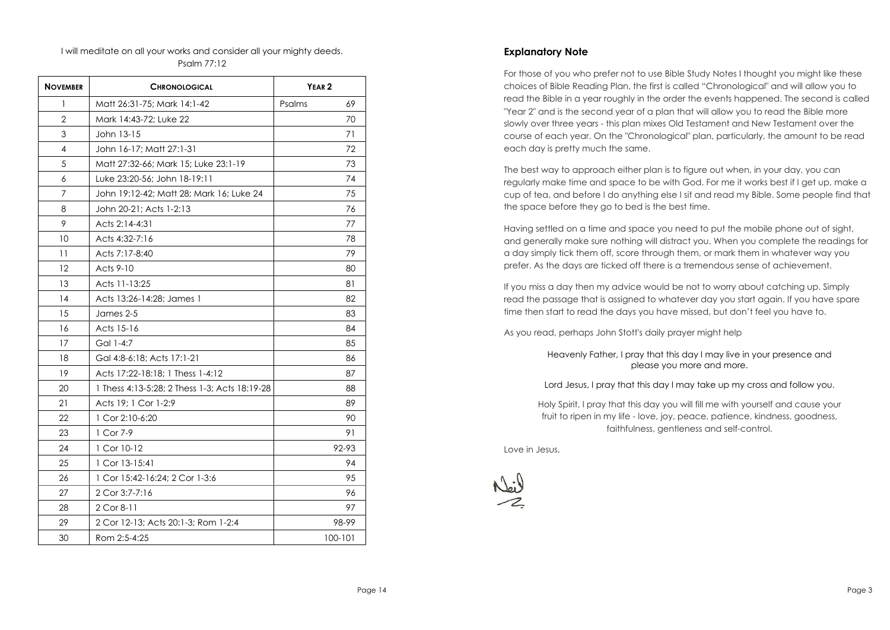### I will meditate on all your works and consider all your mighty deeds. Psalm 77:12

| <b>NOVEMBER</b>   | <b>CHRONOLOGICAL</b>                          | YEAR <sub>2</sub> |
|-------------------|-----------------------------------------------|-------------------|
| 1                 | Matt 26:31-75; Mark 14:1-42                   | Psalms<br>69      |
| $\overline{2}$    | Mark 14:43-72; Luke 22                        | 70                |
| 3                 | John 13-15                                    | 71                |
| 4                 | John 16-17: Matt 27:1-31                      | 72                |
| 5                 | Matt 27:32-66; Mark 15; Luke 23:1-19          | 73                |
| 6                 | Luke 23:20-56; John 18-19:11                  | 74                |
| 7                 | John 19:12-42; Matt 28; Mark 16; Luke 24      | 75                |
| 8                 | John 20-21; Acts 1-2:13                       | 76                |
| 9                 | Acts 2:14-4:31                                | 77                |
| 10                | Acts 4:32-7:16                                | 78                |
| 11                | Acts 7:17-8:40                                | 79                |
| $12 \overline{ }$ | Acts 9-10                                     | 80                |
| 13                | Acts 11-13:25                                 | 81                |
| 14                | Acts 13:26-14:28: James 1                     | 82                |
| 15                | James 2-5                                     | 83                |
| 16                | Acts 15-16                                    | 84                |
| 17                | Gal 1-4:7                                     | 85                |
| 18                | Gal 4:8-6:18; Acts 17:1-21                    | 86                |
| 19                | Acts 17:22-18:18: 1 Thess 1-4:12              | 87                |
| 20                | 1 Thess 4:13-5:28; 2 Thess 1-3; Acts 18:19-28 | 88                |
| 21                | Acts 19; 1 Cor 1-2:9                          | 89                |
| 22                | 1 Cor 2:10-6:20                               | 90                |
| 23                | 1 Cor 7-9                                     | 91                |
| 24                | 1 Cor 10-12                                   | 92-93             |
| 25                | 1 Cor 13-15:41                                | 94                |
| 26                | 1 Cor 15:42-16:24: 2 Cor 1-3:6                | 95                |
| 27                | 2 Cor 3:7-7:16                                | 96                |
| 28                | 2 Cor 8-11                                    | 97                |
| 29                | 2 Cor 12-13; Acts 20:1-3; Rom 1-2:4           | 98-99             |
| 30                | Rom 2:5-4:25                                  | 100-101           |

## **Explanatory Note**

For those of you who prefer not to use Bible Study Notes I thought you might like these choices of Bible Reading Plan, the first is called "Chronological" and will allow you to read the Bible in a year roughly in the order the events happened. The second is called "Year 2" and is the second year of a plan that will allow you to read the Bible more slowly over three years - this plan mixes Old Testament and New Testament over the course of each year. On the "Chronological" plan, particularly, the amount to be read each day is pretty much the same.

The best way to approach either plan is to figure out when, in your day, you can regularly make time and space to be with God. For me it works best if I get up, make a cup of tea, and before I do anything else I sit and read my Bible. Some people find that the space before they go to bed is the best time.

Having settled on a time and space you need to put the mobile phone out of sight, and generally make sure nothing will distract you. When you complete the readings for a day simply tick them off, score through them, or mark them in whatever way you prefer. As the days are ticked off there is a tremendous sense of achievement.

If you miss a day then my advice would be not to worry about catching up. Simply read the passage that is assigned to whatever day you start again. If you have spare time then start to read the days you have missed, but don't feel you have to.

As you read, perhaps John Stott's daily prayer might help

Heavenly Father, I pray that this day I may live in your presence and please you more and more.

Lord Jesus, I pray that this day I may take up my cross and follow you.

Holy Spirit, I pray that this day you will fill me with yourself and cause your fruit to ripen in my life - love, joy, peace, patience, kindness, goodness, faithfulness, gentleness and self-control.

Love in Jesus,

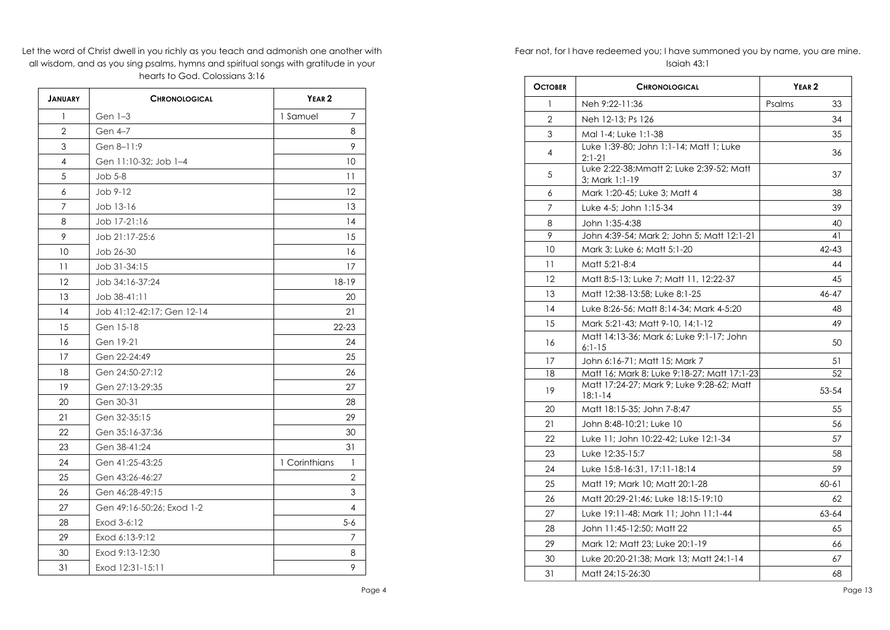Let the word of Christ dwell in you richly as you teach and admonish one another with all wisdom, and as you sing psalms, hymns and spiritual songs with gratitude in your hearts to God. Colossians 3:16

| <b>JANUARY</b> | <b>CHRONOLOGICAL</b>       | YEAR <sub>2</sub>  |
|----------------|----------------------------|--------------------|
| 1              | Gen 1-3                    | 1 Samuel<br>7      |
| $\overline{2}$ | Gen 4-7                    | 8                  |
| 3              | Gen 8-11:9                 | 9                  |
| 4              | Gen 11:10-32; Job 1-4      | 10                 |
| 5              | $Job 5-8$                  | 11                 |
| 6              | Job 9-12                   | 12                 |
| $\overline{7}$ | Job 13-16                  | 13                 |
| 8              | Job 17-21:16               | 14                 |
| 9              | Job 21:17-25:6             | 15                 |
| 10             | Job 26-30                  | 16                 |
| 11             | Job 31-34:15               | 17                 |
| 12             | Job 34:16-37:24            | $18 - 19$          |
| 13             | Job 38-41:11               | 20                 |
| 14             | Job 41:12-42:17; Gen 12-14 | 21                 |
| 15             | Gen 15-18                  | $22 - 23$          |
| 16             | Gen 19-21                  | 24                 |
| 17             | Gen 22-24:49               | 25                 |
| 18             | Gen 24:50-27:12            | 26                 |
| 19             | Gen 27:13-29:35            | 27                 |
| 20             | Gen 30-31                  | 28                 |
| 21             | Gen 32-35:15               | 29                 |
| 22             | Gen 35:16-37:36            | 30                 |
| 23             | Gen 38-41:24               | 31                 |
| 24             | Gen 41:25-43:25            | 1 Corinthians<br>1 |
| 25             | Gen 43:26-46:27            | $\overline{2}$     |
| 26             | Gen 46:28-49:15            | 3                  |
| 27             | Gen 49:16-50:26; Exod 1-2  | 4                  |
| 28             | Exod 3-6:12                | $5 - 6$            |
| 29             | Exod 6:13-9:12             | 7                  |
| 30             | Exod 9:13-12:30            | 8                  |
| 31             | Exod 12:31-15:11           | 9                  |

Fear not, for I have redeemed you; I have summoned you by name, you are mine. Isaiah 43:1

| <b>OCTOBER</b> | <b>CHRONOLOGICAL</b>                                        | YEAR <sub>2</sub> |
|----------------|-------------------------------------------------------------|-------------------|
| 1              | Neh 9:22-11:36                                              | Psalms<br>33      |
| $\overline{2}$ | Neh 12-13; Ps 126                                           | 34                |
| 3              | Mal 1-4; Luke 1:1-38                                        | 35                |
| 4              | Luke 1:39-80; John 1:1-14; Matt 1; Luke<br>$2:1-21$         | 36                |
| 5              | Luke 2:22-38; Mmatt 2; Luke 2:39-52; Matt<br>3; Mark 1:1-19 | 37                |
| 6              | Mark 1:20-45; Luke 3; Matt 4                                | 38                |
| 7              | Luke 4-5: John 1:15-34                                      | 39                |
| 8              | John 1:35-4:38                                              | 40                |
| 9              | John 4:39-54; Mark 2; John 5; Matt 12:1-21                  | 41                |
| 10             | Mark 3; Luke 6; Matt 5:1-20                                 | $42 - 43$         |
| 11             | Matt 5:21-8:4                                               | 44                |
| 12             | Matt 8:5-13; Luke 7; Matt 11, 12:22-37                      | 45                |
| 13             | Matt 12:38-13:58; Luke 8:1-25                               | 46-47             |
| 14             | Luke 8:26-56: Matt 8:14-34: Mark 4-5:20                     | 48                |
| 15             | Mark 5:21-43; Matt 9-10, 14:1-12                            | 49                |
| 16             | Matt 14:13-36; Mark 6; Luke 9:1-17; John<br>$6:1-15$        | 50                |
| 17             | John 6:16-71; Matt 15; Mark 7                               | 51                |
| 18             | Matt 16; Mark 8; Luke 9:18-27; Matt 17:1-23                 | 52                |
| 19             | Matt 17:24-27; Mark 9; Luke 9:28-62; Matt<br>$18:1 - 14$    | 53-54             |
| 20             | Matt 18:15-35; John 7-8:47                                  | 55                |
| 21             | John 8:48-10:21: Luke 10                                    | 56                |
| 22             | Luke 11; John 10:22-42; Luke 12:1-34                        | 57                |
| 23             | Luke 12:35-15:7                                             | 58                |
| 24             | Luke 15:8-16:31, 17:11-18:14                                | 59                |
| 25             | Matt 19; Mark 10; Matt 20:1-28                              | $60 - 61$         |
| 26             | Matt 20:29-21:46; Luke 18:15-19:10                          | 62                |
| 27             | Luke 19:11-48; Mark 11; John 11:1-44                        | 63-64             |
| 28             | John 11:45-12:50: Matt 22                                   | 65                |
| 29             | Mark 12: Matt 23: Luke 20:1-19                              | 66                |
| 30             | Luke 20:20-21:38; Mark 13; Matt 24:1-14                     | 67                |
| 31             | Matt 24:15-26:30                                            | 68                |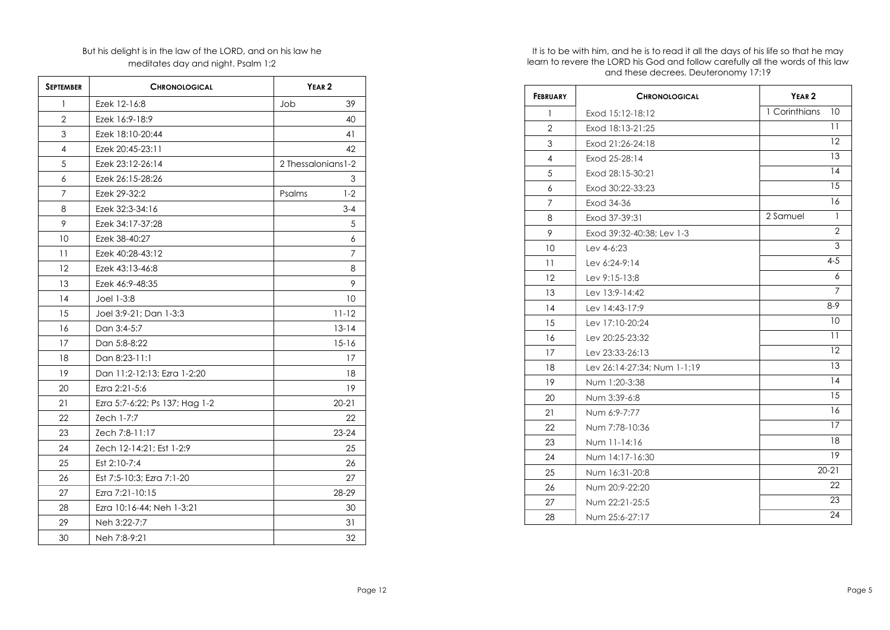# But his delight is in the law of the LORD, and on his law he meditates day and night. Psalm 1:2

| <b>SEPTEMBER</b> | <b>CHRONOLOGICAL</b>           | YEAR <sub>2</sub>   |           |
|------------------|--------------------------------|---------------------|-----------|
| 1                | Ezek 12-16:8                   | Job                 | 39        |
| $\overline{2}$   | Ezek 16:9-18:9                 |                     | 40        |
| 3                | Ezek 18:10-20:44               |                     | 41        |
| 4                | Ezek 20:45-23:11               |                     | 42        |
| 5                | Ezek 23:12-26:14               | 2 Thessalonians 1-2 |           |
| 6                | Ezek 26:15-28:26               |                     | 3         |
| 7                | Ezek 29-32:2                   | Psalms              | $1-2$     |
| 8                | Ezek 32:3-34:16                |                     | $3 - 4$   |
| 9                | Ezek 34:17-37:28               |                     | 5         |
| 10               | Ezek 38-40:27                  |                     | 6         |
| 11               | Ezek 40:28-43:12               |                     | 7         |
| 12               | Ezek 43:13-46:8                |                     | 8         |
| 13               | Ezek 46:9-48:35                |                     | 9         |
| 14               | Joel 1-3:8                     |                     | 10        |
| 15               | Joel 3:9-21; Dan 1-3:3         |                     | $11 - 12$ |
| 16               | Dan 3:4-5:7                    |                     | $13 - 14$ |
| 17               | Dan 5:8-8:22                   |                     | $15 - 16$ |
| 18               | Dan 8:23-11:1                  |                     | 17        |
| 19               | Dan 11:2-12:13; Ezra 1-2:20    |                     | 18        |
| 20               | Ezra 2:21-5:6                  |                     | 19        |
| 21               | Ezra 5:7-6:22; Ps 137; Hag 1-2 |                     | $20 - 21$ |
| 22               | Zech 1-7:7                     |                     | 22        |
| 23               | Zech 7:8-11:17                 |                     | $23 - 24$ |
| 24               | Zech 12-14:21; Est 1-2:9       |                     | 25        |
| 25               | Est 2:10-7:4                   |                     | 26        |
| 26               | Est 7:5-10:3; Ezra 7:1-20      |                     | 27        |
| 27               | Ezra 7:21-10:15                |                     | 28-29     |
| 28               | Ezra 10:16-44; Neh 1-3:21      |                     | 30        |
| 29               | Neh 3:22-7:7                   |                     | 31        |
| 30               | Neh 7:8-9:21                   |                     | 32        |

It is to be with him, and he is to read it all the days of his life so that he may learn to revere the LORD his God and follow carefully all the words of this law and these decrees. Deuteronomy 17:19

| <b>FEBRUARY</b> | <b>CHRONOLOGICAL</b>        | YEAR <sub>2</sub>        |
|-----------------|-----------------------------|--------------------------|
| 1               | Exod 15:12-18:12            | 1 Corinthians<br>10      |
| $\overline{2}$  | Exod 18:13-21:25            | 11                       |
| 3               | Exod 21:26-24:18            | 12                       |
| 4               | Exod 25-28:14               | 13                       |
| 5               | Exod 28:15-30:21            | 14                       |
| 6               | Exod 30:22-33:23            | 15                       |
| 7               | Exod 34-36                  | 16                       |
| 8               | Exod 37-39:31               | 2 Samuel<br>$\mathbf{1}$ |
| 9               | Exod 39:32-40:38: Lev 1-3   | $\overline{2}$           |
| 10              | Lev 4-6:23                  | 3                        |
| 11              | Lev 6:24-9:14               | $4 - 5$                  |
| 12              | Lev 9:15-13:8               | 6                        |
| 13              | Lev 13:9-14:42              | 7                        |
| 14              | Lev 14:43-17:9              | $8-9$                    |
| 15              | Lev 17:10-20:24             | 10                       |
| 16              | Lev 20:25-23:32             | 11                       |
| 17              | Lev 23:33-26:13             | 12                       |
| 18              | Lev 26:14-27:34; Num 1-1:19 | 13                       |
| 19              | Num 1:20-3:38               | 14                       |
| 20              | Num 3:39-6:8                | 15                       |
| 21              | Num 6:9-7:77                | 16                       |
| 22              | Num 7:78-10:36              | 17                       |
| 23              | Num 11-14:16                | 18                       |
| 24              | Num 14:17-16:30             | 19                       |
| 25              | Num 16:31-20:8              | $20 - 21$                |
| 26              | Num 20:9-22:20              | 22                       |
| 27              | Num 22:21-25:5              | 23                       |
| 28              | Num 25:6-27:17              | 24                       |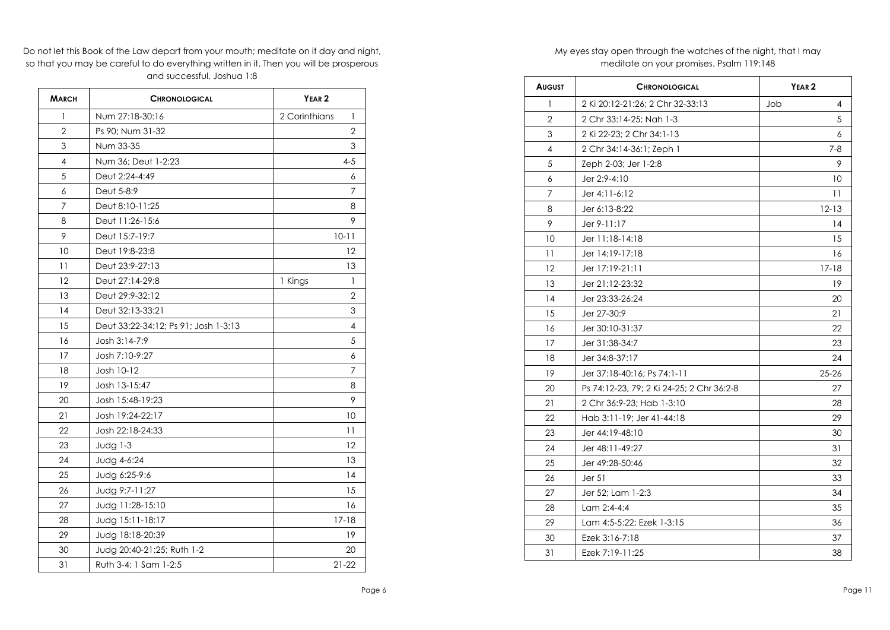Do not let this Book of the Law depart from your mouth; meditate on it day and night, so that you may be careful to do everything written in it. Then you will be prosperous and successful. Joshua 1:8

| <b>MARCH</b>   | <b>CHRONOLOGICAL</b>                 | YEAR <sub>2</sub>             |
|----------------|--------------------------------------|-------------------------------|
| 1              | Num 27:18-30:16                      | 2 Corinthians<br>$\mathbf{1}$ |
| $\overline{2}$ | Ps 90: Num 31-32                     | $\overline{2}$                |
| 3              | Num 33-35                            | 3                             |
| $\overline{4}$ | Num 36; Deut 1-2:23                  | $4 - 5$                       |
| 5              | Deut 2:24-4:49                       | 6                             |
| 6              | Deut 5-8:9                           | 7                             |
| 7              | Deut 8:10-11:25                      | 8                             |
| 8              | Deut 11:26-15:6                      | 9                             |
| 9              | Deut 15:7-19:7                       | $10 - 11$                     |
| 10             | Deut 19:8-23:8                       | 12                            |
| 11             | Deut 23:9-27:13                      | 13                            |
| 12             | Deut 27:14-29:8                      | 1 Kings<br>$\mathbf{1}$       |
| 13             | Deut 29:9-32:12                      | 2                             |
| 14             | Deut 32:13-33:21                     | 3                             |
| 15             | Deut 33:22-34:12; Ps 91; Josh 1-3:13 | 4                             |
| 16             | Josh 3:14-7:9                        | 5                             |
| 17             | Josh 7:10-9:27                       | 6                             |
| 18             | Josh 10-12                           | 7                             |
| 19             | Josh 13-15:47                        | 8                             |
| 20             | Josh 15:48-19:23                     | 9                             |
| 21             | Josh 19:24-22:17                     | 10                            |
| 22             | Josh 22:18-24:33                     | 11                            |
| 23             | Judg $1-3$                           | 12                            |
| 24             | Judg 4-6:24                          | 13                            |
| 25             | Judg 6:25-9:6                        | 14                            |
| 26             | Judg 9:7-11:27                       | 15                            |
| 27             | Judg 11:28-15:10                     | 16                            |
| 28             | Judg 15:11-18:17                     | $17 - 18$                     |
| 29             | Judg 18:18-20:39                     | 19                            |
| 30             | Judg 20:40-21:25; Ruth 1-2           | 20                            |
| 31             | Ruth 3-4; 1 Sam 1-2:5                | $21 - 22$                     |

## My eyes stay open through the watches of the night, that I may meditate on your promises. Psalm 119:148

| <b>AUGUST</b>  | <b>CHRONOLOGICAL</b>                      | YEAR <sub>2</sub> |
|----------------|-------------------------------------------|-------------------|
| 1              | 2 Ki 20:12-21:26; 2 Chr 32-33:13          | Job<br>4          |
| $\overline{2}$ | 2 Chr 33:14-25; Nah 1-3                   | 5                 |
| 3              | 2 Ki 22-23; 2 Chr 34:1-13                 | 6                 |
| 4              | 2 Chr 34:14-36:1; Zeph 1                  | $7 - 8$           |
| 5              | Zeph 2-03; Jer 1-2:8                      | 9                 |
| 6              | Jer 2:9-4:10                              | 10                |
| $\overline{7}$ | Jer 4:11-6:12                             | 11                |
| 8              | Jer 6:13-8:22                             | $12 - 13$         |
| 9              | Jer 9-11:17                               | 14                |
| 10             | Jer 11:18-14:18                           | 15                |
| 11             | Jer 14:19-17:18                           | 16                |
| 12             | Jer 17:19-21:11                           | $17 - 18$         |
| 13             | Jer 21:12-23:32                           | 19                |
| 14             | Jer 23:33-26:24                           | 20                |
| 15             | Jer 27-30:9                               | 21                |
| 16             | Jer 30:10-31:37                           | 22                |
| 17             | Jer 31:38-34:7                            | 23                |
| 18             | Jer 34:8-37:17                            | 24                |
| 19             | Jer 37:18-40:16; Ps 74:1-11               | $25 - 26$         |
| 20             | Ps 74:12-23, 79; 2 Ki 24-25; 2 Chr 36:2-8 | 27                |
| 21             | 2 Chr 36:9-23; Hab 1-3:10                 | 28                |
| 22             | Hab 3:11-19; Jer 41-44:18                 | 29                |
| 23             | Jer 44:19-48:10                           | 30                |
| 24             | Jer 48:11-49:27                           | 31                |
| 25             | Jer 49:28-50:46                           | 32                |
| 26             | Jer <sub>51</sub>                         | 33                |
| 27             | Jer 52; Lam 1-2:3                         | 34                |
| 28             | Lam 2:4-4:4                               | 35                |
| 29             | Lam 4:5-5:22; Ezek 1-3:15                 | 36                |
| 30             | Ezek 3:16-7:18                            | 37                |
| 31             | Ezek 7:19-11:25                           | 38                |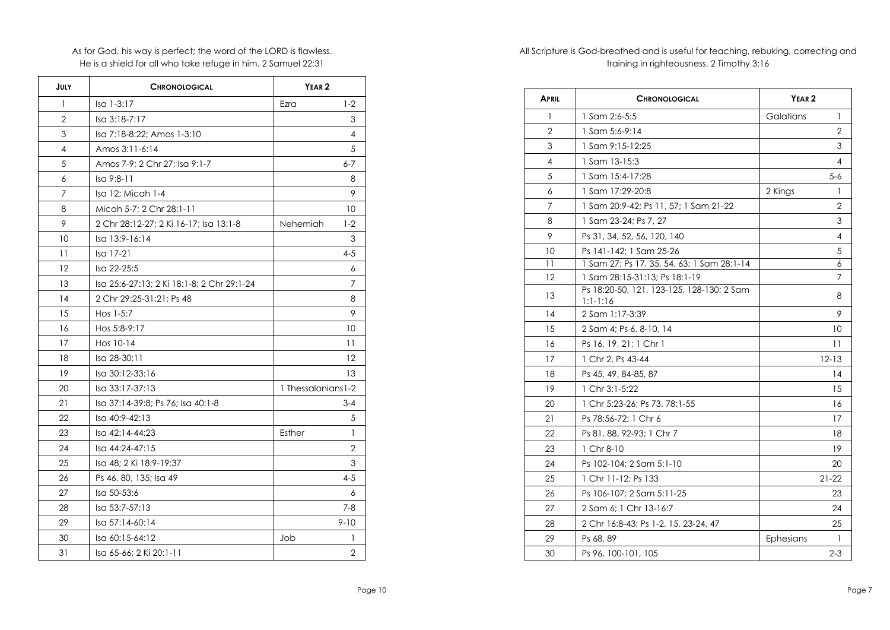As for God, his way is perfect; the word of the LORD is flawless. He is a shield for all who take refuge in him. 2 Samuel 22:31

| JULY           | <b>CHRONOLOGICAL</b>                       | YEAR <sub>2</sub>   |                |
|----------------|--------------------------------------------|---------------------|----------------|
| 1              | Isa 1-3:17                                 | Ezra                | $1-2$          |
| $\mathfrak{D}$ | Isa 3:18-7:17                              |                     | 3              |
| 3              | Isa 7:18-8:22; Amos 1-3:10                 |                     | 4              |
| 4              | Amos 3:11-6:14                             |                     | 5              |
| 5              | Amos 7-9; 2 Chr 27; Isa 9:1-7              |                     | 6-7            |
| 6              | Isa 9:8-11                                 |                     | 8              |
| 7              | Isa 12; Micah 1-4                          |                     | 9              |
| 8              | Micah 5-7: 2 Chr 28:1-11                   |                     | 10             |
| 9              | 2 Chr 28:12-27; 2 Ki 16-17; Isa 13:1-8     | Nehemiah            | $1-2$          |
| 10             | Isa 13:9-16:14                             |                     | 3              |
| 11             | Isa 17-21                                  |                     | 4-5            |
| 12             | Isa 22-25:5                                |                     | 6              |
| 13             | Isa 25:6-27:13; 2 Ki 18:1-8; 2 Chr 29:1-24 |                     | 7              |
| 14             | 2 Chr 29:25-31:21; Ps 48                   |                     | 8              |
| 15             | Hos $1-5:7$                                |                     | 9              |
| 16             | Hos 5:8-9:17                               |                     | 10             |
| 17             | Hos 10-14                                  |                     | 11             |
| 18             | Isa 28-30:11                               |                     | 12             |
| 19             | Isa 30:12-33:16                            |                     | 13             |
| 20             | Isa 33:17-37:13                            | 1 Thessalonians 1-2 |                |
| 21             | Isa 37:14-39:8; Ps 76; Isa 40:1-8          |                     | $3 - 4$        |
| 22             | Isa 40:9-42:13                             |                     | 5              |
| 23             | Isa 42:14-44:23                            | Esther              | 1              |
| 24             | Isa 44:24-47:15                            |                     | 2              |
| 25             | Isa 48: 2 Ki 18:9-19:37                    |                     | 3              |
| 26             | Ps 46, 80, 135; Isa 49                     |                     | 4-5            |
| 27             | Isa 50-53:6                                |                     | 6              |
| 28             | Isa 53:7-57:13                             |                     | $7 - 8$        |
| 29             | Isa 57:14-60:14                            |                     | $9 - 10$       |
| 30             | Isa 60:15-64:12                            | Job                 | 1              |
| 31             | Isa 65-66; 2 Ki 20:1-11                    |                     | $\overline{2}$ |

All Scripture is God-breathed and is useful for teaching, rebuking, correcting and training in righteousness. 2 Timothy 3:16

| <b>APRIL</b>   | <b>CHRONOLOGICAL</b>                                    | YEAR <sub>2</sub> |
|----------------|---------------------------------------------------------|-------------------|
| 1              | 1 Sam 2:6-5:5                                           | Galatians<br>1    |
| $\overline{2}$ | $1$ Sam 5:6-9:14                                        | 2                 |
| 3              | 1 Sam 9:15-12:25                                        | 3                 |
| 4              | 1 Sam 13-15:3                                           | 4                 |
| 5              | 1 Sam 15:4-17:28                                        | 5-6               |
| 6              | 1 Sam 17:29-20:8                                        | 2 Kings<br>1      |
| 7              | 1 Sam 20:9-42; Ps 11, 57; 1 Sam 21-22                   | 2                 |
| 8              | 1 Sam 23-24; Ps 7, 27                                   | 3                 |
| 9              | Ps 31, 34, 52, 56, 120, 140                             | 4                 |
| 10             | Ps 141-142; 1 Sam 25-26                                 | 5                 |
| 11             | 1 Sam 27; Ps 17, 35, 54, 63; 1 Sam 28:1-14              | 6                 |
| 12             | 1 Sam 28:15-31:13; Ps 18:1-19                           | 7                 |
| 13             | Ps 18:20-50, 121, 123-125, 128-130; 2 Sam<br>$1:1-1:16$ | 8                 |
| 14             | 2 Sam 1:17-3:39                                         | 9                 |
| 15             | 2 Sam 4; Ps 6, 8-10, 14                                 | 10                |
| 16             | Ps 16, 19, 21; 1 Chr 1                                  | 11                |
| 17             | 1 Chr 2, Ps 43-44                                       | $12 - 13$         |
| 18             | Ps 45, 49, 84-85, 87                                    | 14                |
| 19             | 1 Chr 3:1-5:22                                          | 15                |
| 20             | 1 Chr 5:23-26; Ps 73, 78:1-55                           | 16                |
| 21             | Ps 78:56-72; 1 Chr 6                                    | 17                |
| 22             | Ps 81, 88, 92-93; 1 Chr 7                               | 18                |
| 23             | 1 Chr 8-10                                              | 19                |
| 24             | Ps 102-104; 2 Sam 5:1-10                                | 20                |
| 25             | 1 Chr 11-12; Ps 133                                     | $21 - 22$         |
| 26             | Ps 106-107; 2 Sam 5:11-25                               | 23                |
| 27             | 2 Sam 6; 1 Chr 13-16:7                                  | 24                |
| 28             | 2 Chr 16:8-43; Ps 1-2, 15, 23-24, 47                    | 25                |
| 29             | Ps 68, 89                                               | Ephesians<br>1    |
| 30             | Ps 96, 100-101, 105                                     | $2 - 3$           |